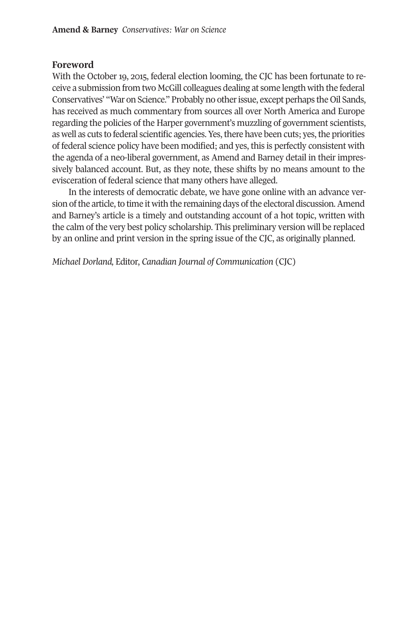## **Foreword**

With the October 19, 2015, federal election looming, the CJC has been fortunate to receive a submission from two McGill colleagues dealing at some length with the federal Conservatives' "War on Science." Probably no otherissue, except perhaps the Oil Sands, has received as much commentary from sources all over North America and Europe regarding the policies of the Harper government's muzzling of government scientists, as well as cuts to federal scientific agencies. Yes, there have been cuts; yes, the priorities of federal science policy have been modified; and yes, this is perfectly consistent with the agenda of a neo-liberal government, as Amend and Barney detail in their impressively balanced account. But, as they note, these shifts by no means amount to the evisceration of federal science that many others have alleged.

In the interests of democratic debate, we have gone online with an advance version of the article, to time it with the remaining days of the electoral discussion. Amend and Barney's article is a timely and outstanding account of a hot topic, written with the calm of the very best policy scholarship. This preliminary version will be replaced by an online and print version in the spring issue of the CJC, as originally planned.

*Michael Dorland,* Editor, *Canadian Journal of [Communication](http://www.cjc-online.ca)* (CJC)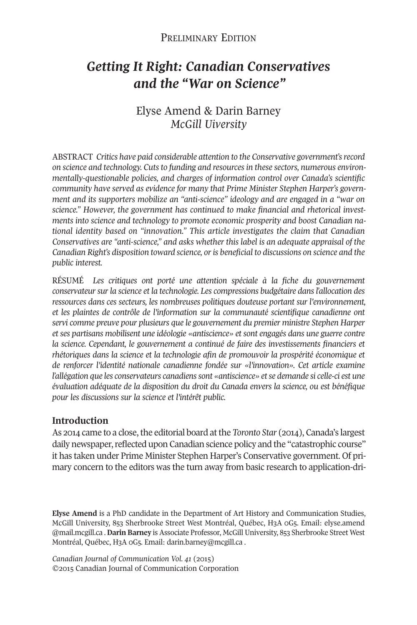# PrElIMINArY EdITION

# *Getting It Right: Canadian Conservatives and the "War on Science"*

# Elyse Amend & Darin Barney *McGill Uiversity*

ABSTrACT *Critics have paid considerable attention to the Conservative government'srecord on science and technology. Cutsto funding and resourcesin these sectors, numerous environmentally-questionable policies, and charges of information control over Canada's scientific community have served as evidence for many that Prime Minister Stephen Harper's government and its supporters mobilize an "anti-science" ideology and are engaged in a "war on science." However, the government has continued to make financial and rhetorical investments into science and technology to promote economic prosperity and boost Canadian national identity based on "innovation." This article investigates the claim that Canadian Conservatives are "anti-science," and asks whether this label is an adequate appraisal of the Canadian Right's disposition toward science, oris beneficial to discussions on science and the public interest.*

rÉSUMÉ *Les critiques ont porté une attention spéciale à la fiche du gouvernement conservateursurla science et la technologie. Les compressions budgétaire dansl'allocation des ressources dans ces secteurs, les nombreuses politiques douteuse portant sur l'environnement, et les plaintes de contrôle de l'information sur la communauté scientifique canadienne ont servi comme preuve pour plusieurs que le gouvernement du premier ministre Stephen Harper et ses partisans mobilisent une idéologie «antiscience» et sont engagés dans une guerre contre la science. Cependant, le gouvernement a continué de faire des investissements financiers et rhétoriques dans la science et la technologie afin de promouvoir la prospérité économique et de renforcer l'identité nationale canadienne fondée sur «l'innovation». Cet article examine l'allégation que les conservateurs canadienssont «antiscience» etse demande si celle-ci est une évaluation adéquate de la disposition du droit du Canada envers la science, ou est bénéfique pour les discussions sur la science et l'intérêt public.*

### **Introduction**

As 2014 came to a close, the editorial board at the *Toronto Star* (2014), Canada's largest daily newspaper, reflected upon Canadian science policy and the "catastrophic course" it has taken under Prime Minister Stephen Harper's Conservative government. Of primary concern to the editors was the turn away from basic research to application-dri-

**Elyse Amend** is a Phd candidate in the department of Art History and Communication Studies, McGill University, 853 Sherbrooke Street West Montréal, Québec, H3A 0G5. Email: [elyse.amend](mailto:elyse.amend@mail.mcgill.ca) [@mail.mcgill.ca](mailto:elyse.amend@mail.mcgill.ca) . **Darin Barney** is Associate Professor, McGill University, 853 Sherbrooke Street West Montréal, Québec, H3A 0G5. Email: [darin.barney@mcgill.ca](mailto:darin.barney@mcgill.ca) .

*Canadian Journal of [Communication](http://www.cjc-online.ca) Vol. 41* (2015) ©2015 Canadian Journal of Communication Corporation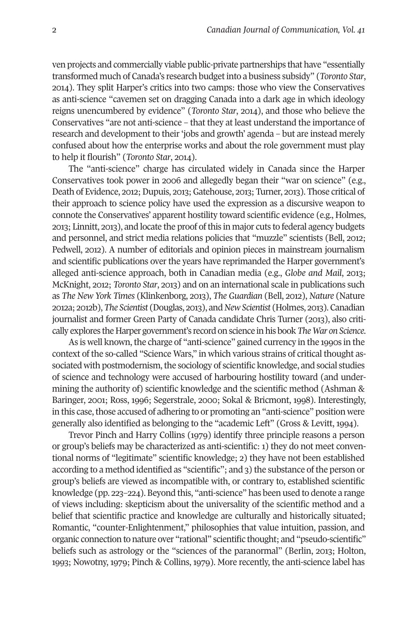ven projects and commercially viable public-private partnerships that have "essentially transformed much of Canada's research budgetinto a business subsidy" (*Toronto Star*, 2014). They split Harper's critics into two camps: those who view the Conservatives as anti-science "cavemen set on dragging Canada into a dark age in which ideology reigns unencumbered by evidence" (*Toronto Star*, 2014), and those who believe the Conservatives "are not anti-science – that they at least understand the importance of research and development to their 'jobs and growth' agenda – but are instead merely confused about how the enterprise works and about the role government must play to help it flourish" (*Toronto Star*, 2014).

The "anti-science" charge has circulated widely in Canada since the Harper Conservatives took power in 2006 and allegedly began their "war on science" (e.g., Death of Evidence, 2012; Dupuis, 2013; Gatehouse, 2013; Turner, 2013). Those critical of their approach to science policy have used the expression as a discursive weapon to connote the Conservatives' apparent hostility toward scientific evidence (e.g., Holmes, 2013; linnitt, 2013), and locate the proof ofthis in major cuts to federal agency budgets and personnel, and strict media relations policies that "muzzle" scientists (Bell, 2012; Pedwell, 2012). A number of editorials and opinion pieces in mainstream journalism and scientific publications over the years have reprimanded the Harper government's alleged anti-science approach, both in Canadian media (e.g., *Globe and Mail*, 2013; McKnight, 2012; *Toronto Star*, 2013) and on an international scale in publications such as *The New York Times* (Klinkenborg, 2013), *The Guardian* (Bell, 2012), *Nature* (Nature 2012a; 2012b), *The Scientist* (douglas, 2013), and*New Scientist* (Holmes, 2013). Canadian journalist and former Green Party of Canada candidate Chris Turner (2013), also critically explores theHarper government's record onscience inhis book*TheWar on Science*.

As is well known, the charge of "anti-science" gained currency in the 1990s in the context of the so-called "Science Wars," in which various strains of critical thought associated with postmodernism, the sociology of scientific knowledge, and social studies of science and technology were accused of harbouring hostility toward (and undermining the authority of) scientific knowledge and the scientific method (Ashman & Baringer, 2001; Ross, 1996; Segerstrale, 2000; Sokal & Bricmont, 1998). Interestingly, in this case, those accused of adhering to or promoting an "anti-science" position were generally also identified as belonging to the "academic left" (Gross & levitt, 1994).

Trevor Pinch and Harry Collins (1979) identify three principle reasons a person or group's beliefs may be characterized as anti-scientific: 1) they do not meet conventional norms of "legitimate" scientific knowledge; 2) they have not been established according to a method identified as "scientific"; and 3) the substance of the person or group's beliefs are viewed as incompatible with, or contrary to, established scientific knowledge (pp. 223–224). Beyond this, "anti-science" has been used to denote a range of views including: skepticism about the universality of the scientific method and a belief that scientific practice and knowledge are culturally and historically situated; Romantic, "counter-Enlightenment," philosophies that value intuition, passion, and organic connection to nature over "rational" scientific thought; and "pseudo-scientific" beliefs such as astrology or the "sciences of the paranormal" (Berlin, 2013; Holton, 1993; Nowotny, 1979; Pinch & Collins, 1979). More recently, the anti-science label has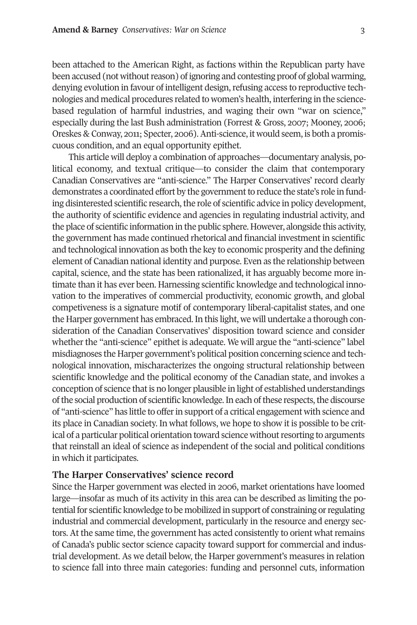been attached to the American Right, as factions within the Republican party have been accused (not without reason) of ignoring and contesting proof of global warming, denying evolution in favour of intelligent design, refusing access to reproductive technologies and medical procedures related to women's health, interfering in the sciencebased regulation of harmful industries, and waging their own "war on science," especially during the last Bush administration (Forrest & Gross, 2007; Mooney, 2006; Oreskes & Conway, 2011; Specter, 2006).Anti-science, it would seem, is both a promiscuous condition, and an equal opportunity epithet.

This article will deploy a combination of approaches—documentary analysis, political economy, and textual critique—to consider the claim that contemporary Canadian Conservatives are "anti-science." The Harper Conservatives' record clearly demonstrates a coordinated effort by the government to reduce the state's role in funding disinterested scientific research, the role of scientific advice in policy development, the authority of scientific evidence and agencies in regulating industrial activity, and the place of scientific information in the public sphere. However, alongside this activity, the government has made continued rhetorical and financial investment in scientific and technological innovation as both the key to economic prosperity and the defining element of Canadian national identity and purpose. Even as the relationship between capital, science, and the state has been rationalized, it has arguably become more intimate than it has ever been. Harnessing scientific knowledge and technological innovation to the imperatives of commercial productivity, economic growth, and global competiveness is a signature motif of contemporary liberal-capitalist states, and one the Harper government has embraced. In this light, we will undertake a thorough consideration of the Canadian Conservatives' disposition toward science and consider whether the "anti-science" epithet is adequate. We will argue the "anti-science" label misdiagnoses the Harper government's political position concerning science and technological innovation, mischaracterizes the ongoing structural relationship between scientific knowledge and the political economy of the Canadian state, and invokes a conception of science that is no longer plausible in light of established understandings of the social production of scientific knowledge. In each of these respects, the discourse of "anti-science" has little to offerin support of a critical engagement with science and its place in Canadian society. In what follows, we hope to show it is possible to be critical of a particular political orientation toward science without resorting to arguments that reinstall an ideal of science as independent of the social and political conditions in which it participates.

#### **The Harper Conservatives' science record**

Since the Harper government was elected in 2006, market orientations have loomed large—insofar as much of its activity in this area can be described as limiting the potential for scientific knowledge to be mobilized in support of constraining orregulating industrial and commercial development, particularly in the resource and energy sectors. At the same time, the government has acted consistently to orient what remains of Canada's public sector science capacity toward support for commercial and industrial development. As we detail below, the Harper government's measures in relation to science fall into three main categories: funding and personnel cuts, information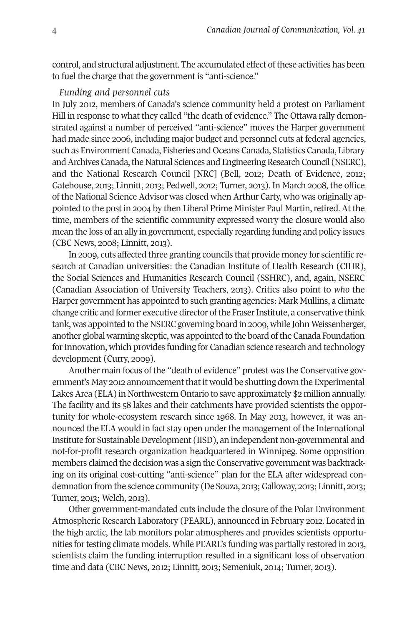control, and structural adjustment. The accumulated effect ofthese activities has been to fuel the charge that the government is "anti-science."

#### *Funding and personnel cuts*

In July 2012, members of Canada's science community held a protest on Parliament Hill in response to what they called "the death of evidence." The Ottawa rally demonstrated against a number of perceived "anti-science" moves the Harper government had made since 2006, including major budget and personnel cuts at federal agencies, such as Environment Canada, Fisheries and Oceans Canada, Statistics Canada, library and Archives Canada, the Natural Sciences and Engineering Research Council (NSERC), and the National Research Council [NRC] (Bell, 2012; Death of Evidence, 2012; Gatehouse, 2013; linnitt, 2013; Pedwell, 2012; Turner, 2013). In March 2008, the office of the National Science Advisor was closed when Arthur Carty, who was originally appointed to the post in 2004 by then Liberal Prime Minister Paul Martin, retired. At the time, members of the scientific community expressed worry the closure would also mean the loss of an ally in government, especially regarding funding and policy issues (CBC News, 2008; linnitt, 2013).

In 2009, cuts affected three granting councils that provide money for scientific research at Canadian universities: the Canadian Institute of Health Research (CIHR), the Social Sciences and Humanities research Council (SSHrC), and, again, NSErC (Canadian Association of University Teachers, 2013). Critics also point to *who* the Harper government has appointed to such granting agencies: Mark Mullins, a climate change critic and former executive director of the Fraser Institute, a conservative think tank, was appointed to the NSErC governing board in 2009, while John Weissenberger, another global warming skeptic, was appointed to the board ofthe Canada Foundation for Innovation, which provides funding for Canadian science research and technology development (Curry, 2009).

Another main focus of the "death of evidence" protest was the Conservative government's May 2012 announcementthatit would be shutting down the Experimental Lakes Area (ELA) in Northwestern Ontario to save approximately \$2 million annually. The facility and its 58 lakes and their catchments have provided scientists the opportunity for whole-ecosystem research since 1968. In May 2013, however, it was announced the ElA would in fact stay open underthe management ofthe International Institute for Sustainable Development (IISD), an independent non-governmental and not-for-profit research organization headquartered in Winnipeg. Some opposition members claimed the decision was a sign the Conservative government was backtracking on its original cost-cutting "anti-science" plan for the ElA after widespread condemnation from the science community (De Souza, 2013; Galloway, 2013; Linnitt, 2013; Turner, 2013; Welch, 2013).

Other government-mandated cuts include the closure of the Polar Environment Atmospheric research laboratory (PEArl), announced in February 2012. located in the high arctic, the lab monitors polar atmospheres and provides scientists opportunities for testing climate models. While PEARL's funding was partially restored in 2013, scientists claim the funding interruption resulted in a significant loss of observation time and data (CBC News, 2012; linnitt, 2013; Semeniuk, 2014; Turner, 2013).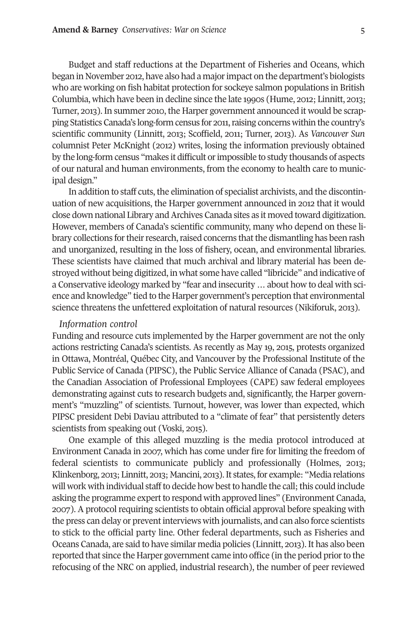Budget and staff reductions at the Department of Fisheries and Oceans, which began in November 2012, have also had a majorimpact on the department's biologists who are working on fish habitat protection for sockeye salmon populations in British Columbia, which have been in decline since the late 1990s (Hume, 2012; linnitt, 2013; Turner, 2013). In summer 2010, the Harper government announced it would be scrapping Statistics Canada's long-form census for 2011, raising concerns within the country's scientific community (linnitt, 2013; Scoffield, 2011; Turner, 2013). As *Vancouver Sun* columnist Peter McKnight (2012) writes, losing the information previously obtained by the long-form census "makes it difficult orimpossible to study thousands of aspects of our natural and human environments, from the economy to health care to municipal design."

In addition to staff cuts, the elimination of specialist archivists, and the discontinuation of new acquisitions, the Harper government announced in 2012 that it would close down national library andArchives Canada sites as it moved toward digitization. However, members of Canada's scientific community, many who depend on these library collections for their research, raised concerns that the dismantling has been rash and unorganized, resulting in the loss of fishery, ocean, and environmental libraries. These scientists have claimed that much archival and library material has been destroyed without being digitized, in what some have called "libricide" and indicative of a Conservative ideology marked by "fear and insecurity … about how to deal with science and knowledge" tied to the Harper government's perception that environmental science threatens the unfettered exploitation of natural resources (Nikiforuk, 2013).

#### *Information control*

Funding and resource cuts implemented by the Harper government are not the only actions restricting Canada's scientists. As recently as May 19, 2015, protests organized in Ottawa, Montréal, Québec City, and Vancouver by the Professional Institute of the Public Service of Canada (PIPSC), the Public Service Alliance of Canada (PSAC), and the Canadian Association of Professional Employees (CAPE) saw federal employees demonstrating against cuts to research budgets and, significantly, the Harper government's "muzzling" of scientists. Turnout, however, was lower than expected, which PIPSC president Debi Daviau attributed to a "climate of fear" that persistently deters scientists from speaking out (Voski, 2015).

One example of this alleged muzzling is the media protocol introduced at Environment Canada in 2007, which has come under fire for limiting the freedom of federal scientists to communicate publicly and professionally (Holmes, 2013; Klinkenborg, 2013; linnitt, 2013; Mancini, 2013).It states,for example: "Media relations will work with individual staff to decide how best to handle the call; this could include asking the programme expert to respond with approved lines" (Environment Canada, 2007). A protocol requiring scientists to obtain official approval before speaking with the press can delay or preventinterviews with journalists, and can also force scientists to stick to the official party line. Other federal departments, such as Fisheries and Oceans Canada, are said to have similar media policies (linnitt, 2013). It has also been reported that since the Harper government came into office (in the period priorto the refocusing of the NrC on applied, industrial research), the number of peer reviewed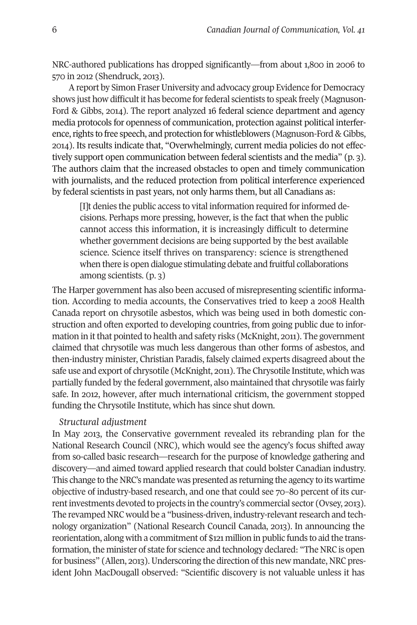NrC-authored publications has dropped significantly—from about 1,800 in 2006 to 570 in 2012 (Shendruck, 2013).

A report by Simon Fraser University and advocacy group Evidence for Democracy shows just how difficult it has become for federal scientists to speak freely (Magnuson-Ford & Gibbs, 2014). The report analyzed 16 federal science department and agency media protocols for openness of communication, protection against political interference, rights to free speech, and protection for whistleblowers (Magnuson-Ford & Gibbs, 2014). Its results indicate that, "Overwhelmingly, current media policies do not effectively support open communication between federal scientists and the media" (p. 3). The authors claim that the increased obstacles to open and timely communication with journalists, and the reduced protection from political interference experienced by federal scientists in past years, not only harms them, but all Canadians as:

[I]t denies the public access to vital information required forinformed decisions. Perhaps more pressing, however, is the fact that when the public cannot access this information, it is increasingly difficult to determine whether government decisions are being supported by the best available science. Science itself thrives on transparency: science is strengthened when there is open dialogue stimulating debate and fruitful collaborations among scientists. (p. 3)

The Harper government has also been accused of misrepresenting scientific information. According to media accounts, the Conservatives tried to keep a 2008 Health Canada report on chrysotile asbestos, which was being used in both domestic construction and often exported to developing countries, from going public due to information in itthat pointed to health and safety risks (McKnight, 2011). The government claimed that chrysotile was much less dangerous than other forms of asbestos, and then-industry minister, Christian Paradis, falsely claimed experts disagreed about the safe use and export of chrysotile (McKnight, 2011). The Chrysotile Institute, which was partially funded by the federal government, also maintained that chrysotile was fairly safe. In 2012, however, after much international criticism, the government stopped funding the Chrysotile Institute, which has since shut down.

#### *Structural adjustment*

In May 2013, the Conservative government revealed its rebranding plan for the National Research Council (NRC), which would see the agency's focus shifted away from so-called basic research—research for the purpose of knowledge gathering and discovery—and aimed toward applied research that could bolster Canadian industry. This change to the NrC's mandate was presented as returning the agency to its wartime objective of industry-based research, and one that could see 70–80 percent of its currentinvestments devoted to projects in the country's commercial sector (Ovsey, 2013). The revamped NRC would be a "business-driven, industry-relevant research and technology organization" (National research Council Canada, 2013). In announcing the reorientation, along with a commitment of \$121 million in public funds to aid the transformation,the minister of state for science and technology declared: "The NrC is open for business" (Allen, 2013). Underscoring the direction of this new mandate, NRC president John Macdougall observed: "Scientific discovery is not valuable unless it has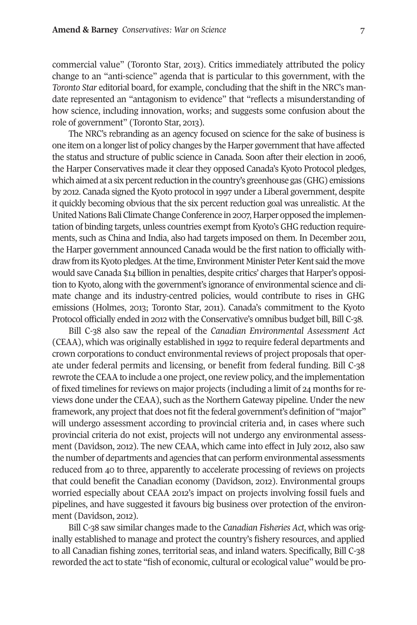commercial value" (Toronto Star, 2013). Critics immediately attributed the policy change to an "anti-science" agenda that is particular to this government, with the *Toronto Star* editorial board, for example, concluding that the shift in the NrC's mandate represented an "antagonism to evidence" that "reflects a misunderstanding of how science, including innovation, works; and suggests some confusion about the role of government" (Toronto Star, 2013).

The NrC's rebranding as an agency focused on science for the sake of business is one item on a longer list of policy changes by the Harper government that have affected the status and structure of public science in Canada. Soon after their election in 2006, the Harper Conservatives made it clear they opposed Canada's Kyoto Protocol pledges, which aimed at a six percent reduction in the country's greenhouse gas (GHG) emissions by 2012. Canada signed the Kyoto protocol in 1997 under a liberal government, despite it quickly becoming obvious that the six percent reduction goal was unrealistic. At the United Nations Bali Climate Change Conference in 2007, Harper opposed the implementation of binding targets, unless countries exempt from Kyoto's GHG reduction requirements, such as China and India, also had targets imposed on them. In December 2011, the Harper government announced Canada would be the first nation to officially withdraw from its Kyoto pledges. At the time, Environment Minister Peter Kent said the move would save Canada \$14 billion in penalties, despite critics' charges that Harper's opposition to Kyoto, along with the government's ignorance of environmental science and climate change and its industry-centred policies, would contribute to rises in GHG emissions (Holmes, 2013; Toronto Star, 2011). Canada's commitment to the Kyoto Protocol officially ended in 2012 with the Conservative's omnibus budget bill, Bill C-38.

Bill C-38 also saw the repeal of the *Canadian Environmental Assessment Act* (CEAA), which was originally established in 1992 to require federal departments and crown corporations to conduct environmental reviews of project proposals that operate under federal permits and licensing, or benefit from federal funding. Bill C-38 rewrote the CEAA to include a one project, one review policy, and the implementation of fixed timelines for reviews on major projects (including a limit of 24 months for reviews done under the CEAA), such as the Northern Gateway pipeline. Under the new framework, any project that does not fit the federal government's definition of "major" will undergo assessment according to provincial criteria and, in cases where such provincial criteria do not exist, projects will not undergo any environmental assessment (davidson, 2012). The new CEAA, which came into effect in July 2012, also saw the number of departments and agencies that can perform environmental assessments reduced from 40 to three, apparently to accelerate processing of reviews on projects that could benefit the Canadian economy (Davidson, 2012). Environmental groups worried especially about CEAA 2012's impact on projects involving fossil fuels and pipelines, and have suggested it favours big business over protection of the environment (Davidson, 2012).

Bill C-38 saw similar changes made to the *Canadian Fisheries Act*, which was originally established to manage and protect the country's fishery resources, and applied to all Canadian fishing zones, territorial seas, and inland waters. Specifically, Bill C-38 reworded the act to state "fish of economic, cultural or ecological value" would be pro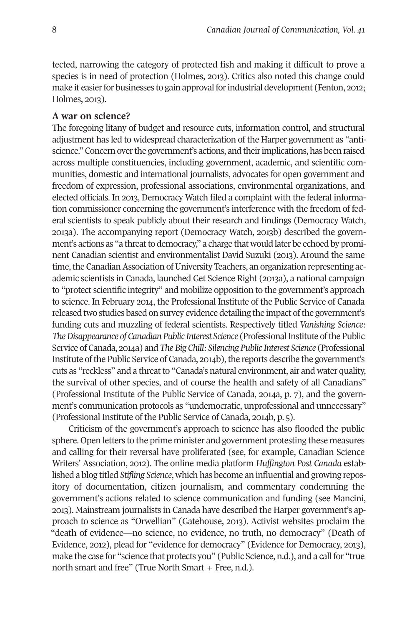tected, narrowing the category of protected fish and making it difficult to prove a species is in need of protection (Holmes, 2013). Critics also noted this change could make it easier for businesses to gain approval for industrial development (Fenton, 2012; Holmes, 2013).

#### **A war on science?**

The foregoing litany of budget and resource cuts, information control, and structural adjustment has led to widespread characterization of the Harper government as "antiscience." Concern over the government's actions, and their implications, has been raised across multiple constituencies, including government, academic, and scientific communities, domestic and international journalists, advocates for open government and freedom of expression, professional associations, environmental organizations, and elected officials. In 2013, Democracy Watch filed a complaint with the federal information commissioner concerning the government's interference with the freedom of federal scientists to speak publicly about their research and findings (Democracy Watch, 2013a). The accompanying report (democracy Watch, 2013b) described the government's actions as "a threat to democracy," a charge that would later be echoed by prominent Canadian scientist and environmentalist david Suzuki (2013). Around the same time, the Canadian Association of University Teachers, an organization representing academic scientists in Canada, launched Get Science Right (2013a), a national campaign to "protect scientific integrity" and mobilize opposition to the government's approach to science. In February 2014, the Professional Institute of the Public Service of Canada released two studies based on survey evidence detailing the impact ofthe government's funding cuts and muzzling of federal scientists. respectively titled *Vanishing Science: TheDisappearance ofCanadian Public Interest Science* (ProfessionalInstitute ofthe Public Service ofCanada, 2014a) and *TheBig Chill: Silencing Public Interest Science* (Professional Institute of the Public Service of Canada, 2014b), the reports describe the government's cuts as "reckless" and a threat to "Canada's natural environment, air and water quality, the survival of other species, and of course the health and safety of all Canadians" (Professional Institute of the Public Service of Canada, 2014a, p. 7), and the government's communication protocols as "undemocratic, unprofessional and unnecessary" (Professional Institute of the Public Service of Canada, 2014b, p. 5).

Criticism of the government's approach to science has also flooded the public sphere. Open letters to the prime minister and government protesting these measures and calling for their reversal have proliferated (see, for example, Canadian Science Writers' Association, 2012). The online media platform *Huffington Post Canada* established a blog titled *Stifling Science*, which has become an influential and growing repository of documentation, citizen journalism, and commentary condemning the government's actions related to science communication and funding (see Mancini, 2013). Mainstream journalists in Canada have described the Harper government's approach to science as "Orwellian" (Gatehouse, 2013). Activist websites proclaim the "death of evidence—no science, no evidence, no truth, no democracy" (Death of Evidence, 2012), plead for "evidence for democracy" (Evidence for democracy, 2013), make the case for "science that protects you" (Public Science, n.d.), and a call for "true north smart and free" (True North Smart + Free, n.d.).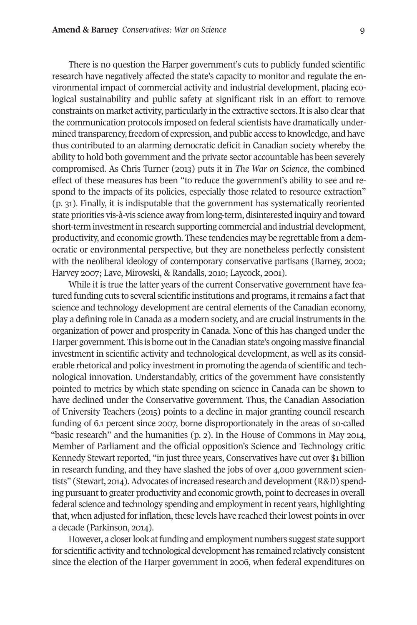There is no question the Harper government's cuts to publicly funded scientific research have negatively affected the state's capacity to monitor and regulate the environmental impact of commercial activity and industrial development, placing ecological sustainability and public safety at significant risk in an effort to remove constraints on market activity, particularly in the extractive sectors. It is also clear that the communication protocols imposed on federal scientists have dramatically undermined transparency, freedom of expression, and public access to knowledge, and have thus contributed to an alarming democratic deficit in Canadian society whereby the ability to hold both government and the private sector accountable has been severely compromised. As Chris Turner (2013) puts it in *The War on Science*, the combined effect of these measures has been "to reduce the government's ability to see and respond to the impacts of its policies, especially those related to resource extraction" (p. 31). Finally, it is indisputable that the government has systematically reoriented state priorities vis-à-vis science away from long-term, disinterested inquiry and toward short-term investmentin research supporting commercial and industrial development, productivity, and economic growth. These tendencies may be regrettable from a democratic or environmental perspective, but they are nonetheless perfectly consistent with the neoliberal ideology of contemporary conservative partisans (Barney, 2002; Harvey 2007; Lave, Mirowski, & Randalls, 2010; Laycock, 2001).

While it is true the latter years of the current Conservative government have featured funding cuts to several scientific institutions and programs, it remains a fact that science and technology development are central elements of the Canadian economy, play a defining role in Canada as a modern society, and are crucial instruments in the organization of power and prosperity in Canada. None of this has changed under the Harper government. This is borne outin the Canadian state's ongoing massive financial investment in scientific activity and technological development, as well as its considerable rhetorical and policy investmentin promoting the agenda of scientific and technological innovation. Understandably, critics of the government have consistently pointed to metrics by which state spending on science in Canada can be shown to have declined under the Conservative government. Thus, the Canadian Association of University Teachers (2015) points to a decline in major granting council research funding of 6.1 percent since 2007, borne disproportionately in the areas of so-called "basic research" and the humanities (p. 2). In the House of Commons in May 2014, Member of Parliament and the official opposition's Science and Technology critic Kennedy Stewart reported, "in just three years, Conservatives have cut over \$1 billion in research funding, and they have slashed the jobs of over 4,000 government scientists" (Stewart, 2014). Advocates of increased research and development (R&D) spending pursuant to greater productivity and economic growth, point to decreases in overall federal science and technology spending and employmentin recent years, highlighting that, when adjusted for inflation, these levels have reached their lowest points in over a decade (Parkinson, 2014).

However, a closer look at funding and employment numbers suggest state support for scientific activity and technological development has remained relatively consistent since the election of the Harper government in 2006, when federal expenditures on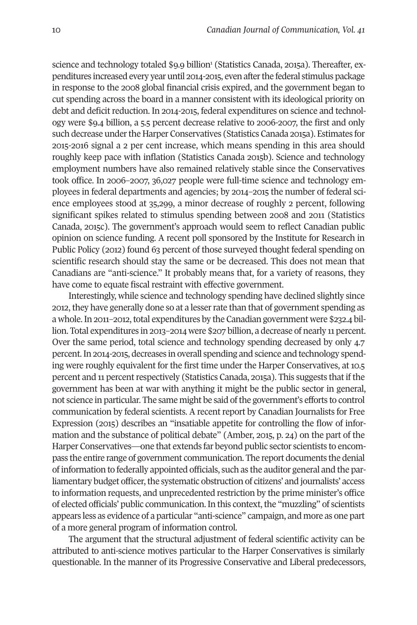science and technology totaled \$9.9 billion<sup>1</sup> (Statistics Canada, 2015a). Thereafter, expenditures increased every year until 2014-2015, even afterthe federal stimulus package in response to the 2008 global financial crisis expired, and the government began to cut spending across the board in a manner consistent with its ideological priority on debt and deficit reduction. In 2014-2015, federal expenditures on science and technology were \$9.4 billion, a 5.5 percent decrease relative to 2006-2007, the first and only such decrease under the Harper Conservatives (Statistics Canada 2015a). Estimates for 2015-2016 signal a 2 per cent increase, which means spending in this area should roughly keep pace with inflation (Statistics Canada 2015b). Science and technology employment numbers have also remained relatively stable since the Conservatives took office. In 2006–2007, 36,027 people were full-time science and technology employees in federal departments and agencies; by 2014–2015 the number of federal science employees stood at 35,299, a minor decrease of roughly 2 percent, following significant spikes related to stimulus spending between 2008 and 2011 (Statistics Canada, 2015c). The government's approach would seem to reflect Canadian public opinion on science funding. A recent poll sponsored by the Institute for research in Public Policy (2012) found 63 percent of those surveyed thought federal spending on scientific research should stay the same or be decreased. This does not mean that Canadians are "anti-science." It probably means that, for a variety of reasons, they have come to equate fiscal restraint with effective government.

Interestingly, while science and technology spending have declined slightly since 2012, they have generally done so at a lesserrate than that of government spending as a whole. In 2011–2012, total expenditures by the Canadian government were \$232.4 billion. Total expenditures in 2013–2014 were \$207 billion, a decrease of nearly 11 percent. Over the same period, total science and technology spending decreased by only 4.7 percent.In 2014-2015, decreases in overall spending and science and technology spending were roughly equivalent for the first time under the Harper Conservatives, at 10.5 percent and 11 percent respectively (Statistics Canada, 2015a). This suggests that if the government has been at war with anything it might be the public sector in general, not science in particular. The same might be said ofthe government's efforts to control communication by federal scientists. A recent report by Canadian Journalists for Free Expression (2015) describes an "insatiable appetite for controlling the flow of information and the substance of political debate" (Amber, 2015, p. 24) on the part of the Harper Conservatives—one that extends far beyond public sector scientists to encompass the entire range of government communication. The report documents the denial of information to federally appointed officials, such as the auditor general and the parliamentary budget officer, the systematic obstruction of citizens' and journalists' access to information requests, and unprecedented restriction by the prime minister's office of elected officials' public communication. In this context, the "muzzling" of scientists appears less as evidence of a particular "anti-science" campaign, and more as one part of a more general program of information control.

The argument that the structural adjustment of federal scientific activity can be attributed to anti-science motives particular to the Harper Conservatives is similarly questionable. In the manner of its Progressive Conservative and liberal predecessors,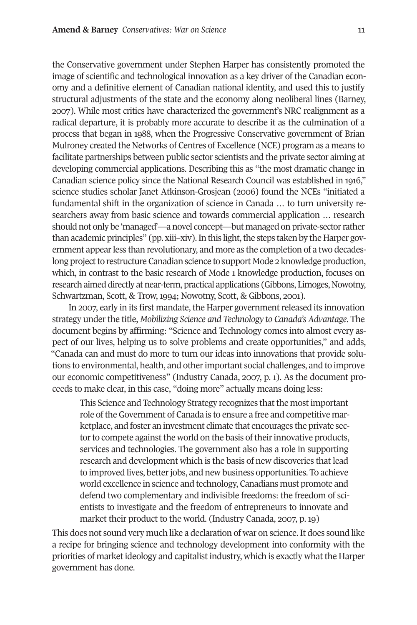the Conservative government under Stephen Harper has consistently promoted the image of scientific and technological innovation as a key driver of the Canadian economy and a definitive element of Canadian national identity, and used this to justify structural adjustments of the state and the economy along neoliberal lines (Barney, 2007). While most critics have characterized the government's NrC realignment as a radical departure, it is probably more accurate to describe it as the culmination of a process that began in 1988, when the Progressive Conservative government of Brian Mulroney created the Networks of Centres of Excellence (NCE) program as a means to facilitate partnerships between public sector scientists and the private sector aiming at developing commercial applications. Describing this as "the most dramatic change in Canadian science policy since the National Research Council was established in 1916," science studies scholar Janet Atkinson-Grosjean (2006) found the NCEs "initiated a fundamental shift in the organization of science in Canada … to turn university researchers away from basic science and towards commercial application … research should not only be 'managed'—a novel concept—but managed on private-sectorrather than academic principles" (pp. xiii–xiv). In this light, the steps taken by the Harper government appearless than revolutionary, and more as the completion of a two decadeslong project to restructure Canadian science to support Mode 2 knowledge production, which, in contrast to the basic research of Mode 1 knowledge production, focuses on research aimed directly at near-term, practical applications (Gibbons, Limoges, Nowotny, Schwartzman, Scott, & Trow, 1994; Nowotny, Scott, & Gibbons, 2001).

In 2007, early in its first mandate, the Harper government released its innovation strategy under the title, *Mobilizing Science and Technology to Canada's Advantage*. The document begins by affirming: "Science and Technology comes into almost every aspect of our lives, helping us to solve problems and create opportunities," and adds, "Canada can and must do more to turn our ideas into innovations that provide solutions to environmental, health, and otherimportant social challenges, and to improve our economic competitiveness" (Industry Canada, 2007, p. 1). As the document proceeds to make clear, in this case, "doing more" actually means doing less:

This Science and Technology Strategy recognizes that the most important role of the Government of Canada is to ensure a free and competitive marketplace, and foster an investment climate that encourages the private sector to compete against the world on the basis of their innovative products, services and technologies. The government also has a role in supporting research and development which is the basis of new discoveries that lead to improved lives, better jobs, and new business opportunities. To achieve world excellence in science and technology, Canadians must promote and defend two complementary and indivisible freedoms: the freedom of scientists to investigate and the freedom of entrepreneurs to innovate and market their product to the world. (Industry Canada, 2007, p. 19)

This does not sound very much like a declaration of war on science. It does sound like a recipe for bringing science and technology development into conformity with the priorities of market ideology and capitalist industry, which is exactly what the Harper government has done.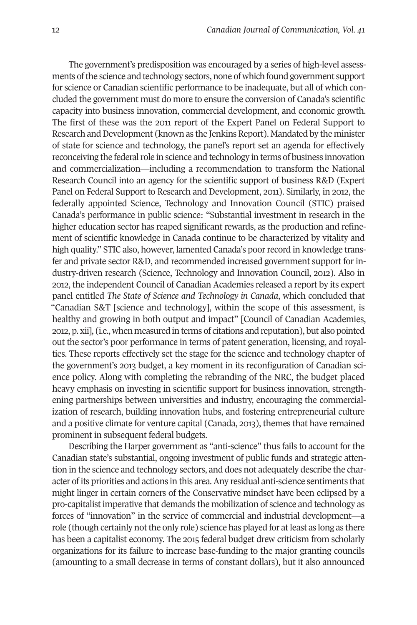The government's predisposition was encouraged by a series of high-level assessments of the science and technology sectors, none of which found government support for science or Canadian scientific performance to be inadequate, but all of which concluded the government must do more to ensure the conversion of Canada's scientific capacity into business innovation, commercial development, and economic growth. The first of these was the 2011 report of the Expert Panel on Federal Support to Research and Development (known as the Jenkins Report). Mandated by the minister of state for science and technology, the panel's report set an agenda for effectively reconceiving the federal role in science and technology in terms of business innovation and commercialization—including a recommendation to transform the National Research Council into an agency for the scientific support of business R&D (Expert Panel on Federal Support to Research and Development, 2011). Similarly, in 2012, the federally appointed Science, Technology and Innovation Council (STIC) praised Canada's performance in public science: "Substantial investment in research in the higher education sector has reaped significant rewards, as the production and refinement of scientific knowledge in Canada continue to be characterized by vitality and high quality." STIC also, however, lamented Canada's poor record in knowledge transfer and private sector R&D, and recommended increased government support for industry-driven research (Science, Technology and Innovation Council, 2012). Also in 2012, the independent Council of Canadian Academies released a report by its expert panel entitled *The State of Science and Technology in Canada*, which concluded that "Canadian S&T [science and technology], within the scope of this assessment, is healthy and growing in both output and impact" [Council of Canadian Academies, 2012, p. xii], (i.e., when measured in terms of citations and reputation), but also pointed out the sector's poor performance in terms of patent generation, licensing, and royalties. These reports effectively set the stage for the science and technology chapter of the government's 2013 budget, a key moment in its reconfiguration of Canadian science policy. Along with completing the rebranding of the NrC, the budget placed heavy emphasis on investing in scientific support for business innovation, strengthening partnerships between universities and industry, encouraging the commercialization of research, building innovation hubs, and fostering entrepreneurial culture and a positive climate for venture capital (Canada, 2013), themes that have remained prominent in subsequent federal budgets.

Describing the Harper government as "anti-science" thus fails to account for the Canadian state's substantial, ongoing investment of public funds and strategic attention in the science and technology sectors, and does not adequately describe the character of its priorities and actions in this area.Any residual anti-science sentiments that might linger in certain corners of the Conservative mindset have been eclipsed by a pro-capitalist imperative that demands the mobilization of science and technology as forces of "innovation" in the service of commercial and industrial development—a role (though certainly not the only role) science has played for at least as long as there has been a capitalist economy. The 2015 federal budget drew criticism from scholarly organizations for its failure to increase base-funding to the major granting councils (amounting to a small decrease in terms of constant dollars), but it also announced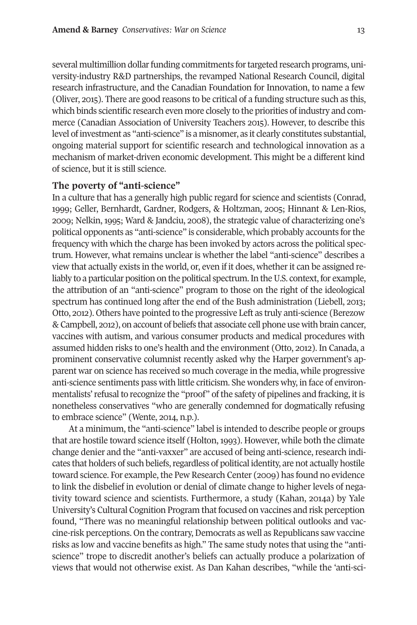several multimillion dollar funding commitments for targeted research programs, university-industry R&D partnerships, the revamped National Research Council, digital research infrastructure, and the Canadian Foundation for Innovation, to name a few (Oliver, 2015). There are good reasons to be critical of a funding structure such as this, which binds scientific research even more closely to the priorities of industry and commerce (Canadian Association of University Teachers 2015). However, to describe this level of investment as "anti-science" is a misnomer, as it clearly constitutes substantial, ongoing material support for scientific research and technological innovation as a mechanism of market-driven economic development. This might be a different kind of science, but it is still science.

#### **The poverty of "anti-science"**

In a culture that has a generally high public regard for science and scientists (Conrad, 1999; Geller, Bernhardt, Gardner, rodgers, & Holtzman, 2005; Hinnant & len-rios, 2009; Nelkin, 1995; Ward & Jandciu, 2008), the strategic value of characterizing one's political opponents as "anti-science" is considerable, which probably accounts forthe frequency with which the charge has been invoked by actors across the political spectrum. However, what remains unclear is whether the label "anti-science" describes a view that actually exists in the world, or, even if it does, whetherit can be assigned reliably to a particular position on the political spectrum.In theU.S. context, for example, the attribution of an "anti-science" program to those on the right of the ideological spectrum has continued long after the end of the Bush administration (Liebell, 2013; Otto, 2012). Others have pointed to the progressive left as truly anti-science (Berezow & Campbell, 2012), on account of beliefs that associate cell phone use with brain cancer, vaccines with autism, and various consumer products and medical procedures with assumed hidden risks to one's health and the environment (Otto, 2012). In Canada, a prominent conservative columnist recently asked why the Harper government's apparent war on science has received so much coverage in the media, while progressive anti-science sentiments pass with little criticism. She wonders why, in face of environmentalists' refusal to recognize the "proof" of the safety of pipelines and fracking, it is nonetheless conservatives "who are generally condemned for dogmatically refusing to embrace science" (Wente, 2014, n.p.).

At a minimum, the "anti-science" label is intended to describe people or groups that are hostile toward science itself (Holton, 1993). However, while both the climate change denier and the "anti-vaxxer" are accused of being anti-science, research indicates that holders of such beliefs, regardless of political identity, are not actually hostile toward science. For example, the Pew research Center (2009) has found no evidence to link the disbelief in evolution or denial of climate change to higher levels of negativity toward science and scientists. Furthermore, a study (Kahan, 2014a) by Yale University's Cultural Cognition Program that focused on vaccines and risk perception found, "There was no meaningful relationship between political outlooks and vaccine-risk perceptions. On the contrary, Democrats as well as Republicans saw vaccine risks as low and vaccine benefits as high." The same study notes that using the "antiscience" trope to discredit another's beliefs can actually produce a polarization of views that would not otherwise exist. As dan Kahan describes, "while the 'anti-sci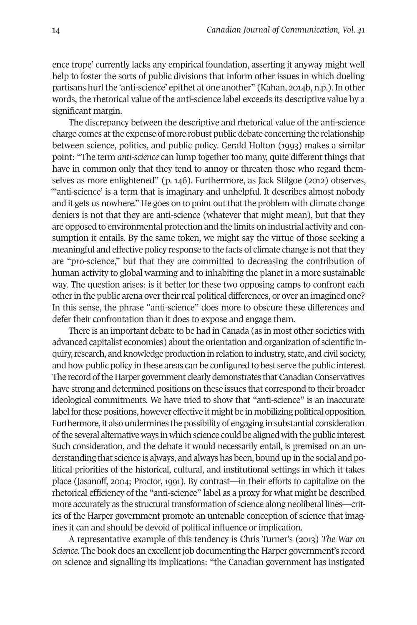ence trope' currently lacks any empirical foundation, asserting it anyway might well help to foster the sorts of public divisions that inform other issues in which dueling partisans hurl the 'anti-science' epithet at one another" (Kahan, 2014b, n.p.). In other words, the rhetorical value of the anti-science label exceeds its descriptive value by a significant margin.

The discrepancy between the descriptive and rhetorical value of the anti-science charge comes atthe expense of more robust public debate concerning the relationship between science, politics, and public policy. Gerald Holton (1993) makes a similar point: "The term *anti-science* can lump together too many, quite different things that have in common only that they tend to annoy or threaten those who regard themselves as more enlightened" (p. 146). Furthermore, as Jack Stilgoe (2012) observes, "'anti-science' is a term that is imaginary and unhelpful. It describes almost nobody and it gets us nowhere." He goes on to point out that the problem with climate change deniers is not that they are anti-science (whatever that might mean), but that they are opposed to environmental protection and the limits on industrial activity and consumption it entails. By the same token, we might say the virtue of those seeking a meaningful and effective policy response to the facts of climate change is not that they are "pro-science," but that they are committed to decreasing the contribution of human activity to global warming and to inhabiting the planet in a more sustainable way. The question arises: is it better for these two opposing camps to confront each other in the public arena over their real political differences, or over an imagined one? In this sense, the phrase "anti-science" does more to obscure these differences and defer their confrontation than it does to expose and engage them.

There is an important debate to be had in Canada (as in most other societies with advanced capitalist economies) about the orientation and organization of scientific inquiry, research, and knowledge production in relation to industry, state, and civil society, and how public policy in these areas can be configured to best serve the public interest. The record of the Harper government clearly demonstrates that Canadian Conservatives have strong and determined positions on these issues that correspond to their broader ideological commitments. We have tried to show that "anti-science" is an inaccurate label for these positions, however effective it might be in mobilizing political opposition. Furthermore, it also undermines the possibility of engaging in substantial consideration ofthe several alternative ways in which science could be aligned with the public interest. Such consideration, and the debate it would necessarily entail, is premised on an understanding that science is always, and always has been, bound up in the social and political priorities of the historical, cultural, and institutional settings in which it takes place (Jasanoff, 2004; Proctor, 1991). By contrast—in their efforts to capitalize on the rhetorical efficiency of the "anti-science" label as a proxy for what might be described more accurately as the structural transformation of science along neoliberal lines—critics of the Harper government promote an untenable conception of science that imagines it can and should be devoid of political influence or implication.

A representative example of this tendency is Chris Turner's (2013) *The War on Science*. The book does an excellentjob documenting the Harper government's record on science and signalling its implications: "the Canadian government has instigated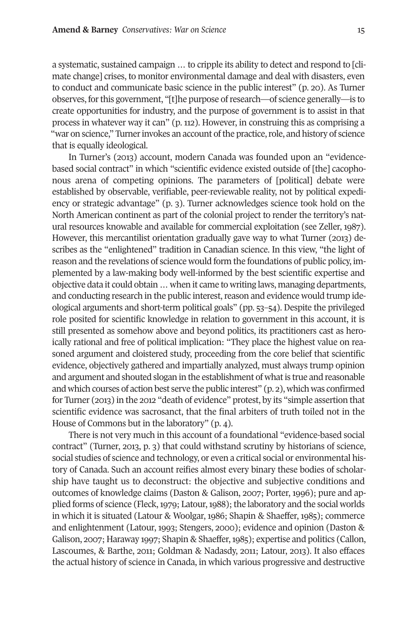a systematic, sustained campaign … to cripple its ability to detect and respond to [climate change] crises, to monitor environmental damage and deal with disasters, even to conduct and communicate basic science in the public interest" (p. 20). As Turner observes, forthis government, "[t]he purpose ofresearch—of science generally—is to create opportunities for industry, and the purpose of government is to assist in that process in whatever way it can" (p. 112). However, in construing this as comprising a "war on science," Turner invokes an account of the practice, role, and history of science that is equally ideological.

In Turner's (2013) account, modern Canada was founded upon an "evidencebased social contract" in which "scientific evidence existed outside of [the] cacophonous arena of competing opinions. The parameters of [political] debate were established by observable, verifiable, peer-reviewable reality, not by political expediency or strategic advantage" (p. 3). Turner acknowledges science took hold on the North American continent as part of the colonial project to render the territory's natural resources knowable and available for commercial exploitation (see Zeller, 1987). However, this mercantilist orientation gradually gave way to what Turner (2013) describes as the "enlightened" tradition in Canadian science. In this view, "the light of reason and the revelations of science would form the foundations of public policy, implemented by a law-making body well-informed by the best scientific expertise and objective data it could obtain … when it came to writing laws, managing departments, and conducting research in the public interest, reason and evidence would trump ideological arguments and short-term political goals" (pp. 53-54). Despite the privileged role posited for scientific knowledge in relation to government in this account, it is still presented as somehow above and beyond politics, its practitioners cast as heroically rational and free of political implication: "They place the highest value on reasoned argument and cloistered study, proceeding from the core belief that scientific evidence, objectively gathered and impartially analyzed, must always trump opinion and argument and shouted slogan in the establishment of what is true and reasonable and which courses of action best serve the public interest" (p. 2), which was confirmed for Turner (2013) in the 2012 "death of evidence" protest, by its "simple assertion that scientific evidence was sacrosanct, that the final arbiters of truth toiled not in the House of Commons but in the laboratory" (p. 4).

There is not very much in this account of a foundational "evidence-based social contract" (Turner, 2013, p. 3) that could withstand scrutiny by historians of science, social studies of science and technology, or even a critical social or environmental history of Canada. Such an account reifies almost every binary these bodies of scholarship have taught us to deconstruct: the objective and subjective conditions and outcomes of knowledge claims (Daston & Galison, 2007; Porter, 1996); pure and applied forms of science (Fleck, 1979; Latour, 1988); the laboratory and the social worlds in which it is situated (latour & Woolgar, 1986; Shapin & Shaeffer, 1985); commerce and enlightenment (Latour, 1993; Stengers, 2000); evidence and opinion (Daston  $\&$ Galison, 2007; Haraway 1997; Shapin & Shaeffer,1985); expertise and politics (Callon, lascoumes, & Barthe, 2011; Goldman & Nadasdy, 2011; latour, 2013). It also effaces the actual history of science in Canada, in which various progressive and destructive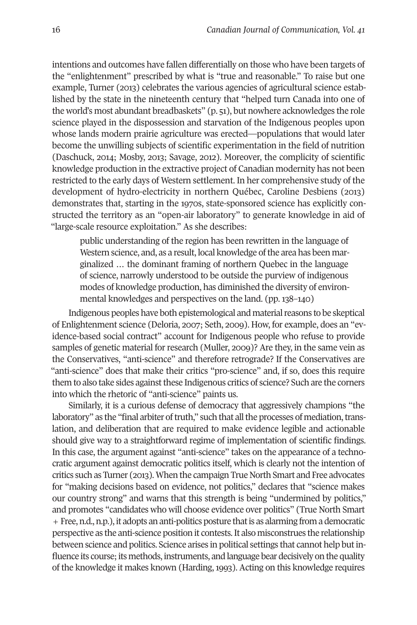intentions and outcomes have fallen differentially on those who have been targets of the "enlightenment" prescribed by what is "true and reasonable." To raise but one example, Turner (2013) celebrates the various agencies of agricultural science established by the state in the nineteenth century that "helped turn Canada into one of the world's most abundant breadbaskets" (p. 51), but nowhere acknowledges the role science played in the dispossession and starvation of the Indigenous peoples upon whose lands modern prairie agriculture was erected—populations that would later become the unwilling subjects of scientific experimentation in the field of nutrition (Daschuck, 2014; Mosby, 2013; Savage, 2012). Moreover, the complicity of scientific knowledge production in the extractive project of Canadian modernity has not been restricted to the early days of Western settlement. In her comprehensive study of the development of hydro-electricity in northern Québec, Caroline Desbiens (2013) demonstrates that, starting in the 1970s, state-sponsored science has explicitly constructed the territory as an "open-air laboratory" to generate knowledge in aid of "large-scale resource exploitation." As she describes:

public understanding of the region has been rewritten in the language of Western science, and, as a result, local knowledge of the area has been marginalized … the dominant framing of northern Quebec in the language of science, narrowly understood to be outside the purview of indigenous modes of knowledge production, has diminished the diversity of environmental knowledges and perspectives on the land. (pp. 138–140)

Indigenous peoples have both epistemological and material reasons to be skeptical of Enlightenment science (deloria, 2007; Seth, 2009). How, for example, does an "evidence-based social contract" account for Indigenous people who refuse to provide samples of genetic material for research (Muller, 2009)? Are they, in the same vein as the Conservatives, "anti-science" and therefore retrograde? If the Conservatives are "anti-science" does that make their critics "pro-science" and, if so, does this require them to also take sides against these Indigenous critics of science? Such are the corners into which the rhetoric of "anti-science" paints us.

Similarly, it is a curious defense of democracy that aggressively champions "the laboratory" as the "final arbiter of truth," such that all the processes of mediation, translation, and deliberation that are required to make evidence legible and actionable should give way to a straightforward regime of implementation of scientific findings. In this case, the argument against "anti-science" takes on the appearance of a technocratic argument against democratic politics itself, which is clearly not the intention of critics such as Turner (2013).When the campaign True North Smart and Free advocates for "making decisions based on evidence, not politics," declares that "science makes our country strong" and warns that this strength is being "undermined by politics," and promotes "candidates who will choose evidence over politics" (True North Smart + Free, n.d., n.p.), it adopts an anti-politics posture that is as alarming from a democratic perspective as the anti-science position it contests.It also misconstrues the relationship between science and politics. Science arises in political settings that cannot help butinfluence its course; its methods, instruments, and language bear decisively on the quality of the knowledge it makes known (Harding, 1993). Acting on this knowledge requires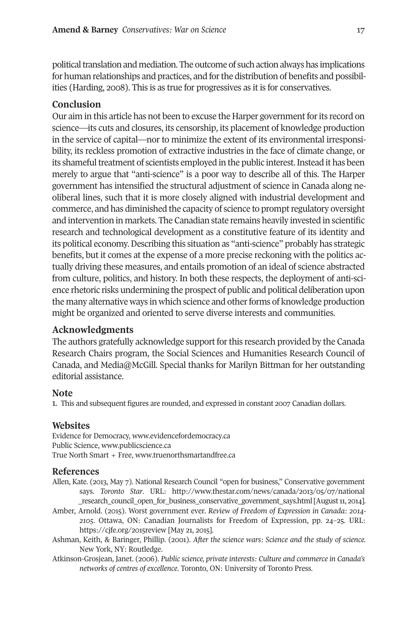political translation and mediation. The outcome of such action always has implications for human relationships and practices, and forthe distribution of benefits and possibilities (Harding, 2008). This is as true for progressives as it is for conservatives.

#### **Conclusion**

Our aim in this article has not been to excuse the Harper government for its record on science—its cuts and closures, its censorship, its placement of knowledge production in the service of capital—nor to minimize the extent of its environmental irresponsibility, its reckless promotion of extractive industries in the face of climate change, or its shameful treatment of scientists employed in the public interest. Instead it has been merely to argue that "anti-science" is a poor way to describe all of this. The Harper government has intensified the structural adjustment of science in Canada along neoliberal lines, such that it is more closely aligned with industrial development and commerce, and has diminished the capacity of science to promptregulatory oversight and intervention in markets. The Canadian state remains heavily invested in scientific research and technological development as a constitutive feature of its identity and its political economy. Describing this situation as "anti-science" probably has strategic benefits, but it comes at the expense of a more precise reckoning with the politics actually driving these measures, and entails promotion of an ideal of science abstracted from culture, politics, and history. In both these respects, the deployment of anti-science rhetoric risks undermining the prospect of public and political deliberation upon the many alternative ways in which science and other forms of knowledge production might be organized and oriented to serve diverse interests and communities.

#### **Acknowledgments**

The authors gratefully acknowledge support forthis research provided by the Canada Research Chairs program, the Social Sciences and Humanities Research Council of Canada, and Media@McGill. Special thanks for Marilyn Bittman for her outstanding editorial assistance.

#### <span id="page-17-0"></span>**Note**

1. This and subsequent figures are rounded, and expressed in constant 2007 Canadian dollars.

#### **Websites**

Evidence for Democracy, <www.evidencefordemocracy.ca> Public Science, <www.publicscience.ca> True North Smart + Free, <www.truenorthsmartandfree.ca>

#### **References**

- Allen, Kate. (2013, May 7). National Research Council "open for business," Conservative government says. *Toronto Star*. Url: [http://www.thestar.com/news/canada/2013/05/07/national](http://www.thestar.com/news/canada/2013/05/07/national_research_council_open_for_business_conservative_government_says.html) [\\_research\\_council\\_open\\_for\\_business\\_conservative\\_government\\_says.html\[](http://www.thestar.com/news/canada/2013/05/07/national_research_council_open_for_business_conservative_government_says.html)August11, 2014].
- Amber, Arnold. (2015). Worst government ever*. Review of Freedom of Expression in Canada: 2014- 2105*. Ottawa, ON: Canadian Journalists for Freedom of Expression, pp. 24–25. Url: <https://cjfe.org/2015review> [May 21, 2015].
- Ashman, Keith, & Baringer, Phillip. (2001). *After the science wars: Science and the study of science.* New York, NY: Routledge.
- Atkinson-Grosjean, Janet. (2006). *Public science, private interests: Culture and commerce in Canada's networks of centres of excellence*. Toronto, ON: University of Toronto Press.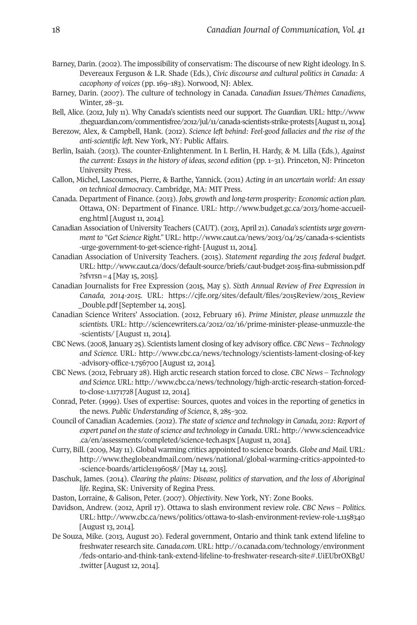- Barney, Darin. (2002). The impossibility of conservatism: The discourse of new Right ideology. In S. devereaux Ferguson & l.r. Shade (Eds.), *Civic discourse and cultural politics in Canada: A cacophony of voices* (pp. 169–183). Norwood, NJ: Ablex.
- Barney, darin. (2007). The culture of technology in Canada. *Canadian Issues/Thèmes Canadiens*, Winter, 28–31.
- Bell, Alice. (2012, July 11). Why Canada's scientists need our support. *The Guardian*. Url: [http://www](http://www.theguardian.com/commentisfree/2012/jul/11/canada-scientists-strike-protests) [.theguardian.com/commentisfree/2012/jul/11/canada-scientists-strike-protests](http://www.theguardian.com/commentisfree/2012/jul/11/canada-scientists-strike-protests) [August11, 2014].
- Berezow, Alex, & Campbell, Hank. (2012). *Science left behind: Feel-good fallacies and the rise of the anti-scientific left.* New York, NY: Public Affairs.
- Berlin, Isaiah. (2013). The counter-Enlightenment. In I. Berlin, H. Hardy, & M. lilla (Eds.), *Against the current: Essays in the history of ideas, second edition* (pp. 1–31). Princeton, NJ: Princeton University Press.
- Callon, Michel, lascoumes, Pierre, & Barthe, Yannick*.* (2011) *Acting in an uncertain world: An essay on technical democracy*. Cambridge, MA: MIT Press.
- Canada. department of Finance. (2013). *Jobs, growth and long-term prosperity: Economic action plan*. Ottawa, ON: Department of Finance. URL: [http://www.budget.gc.ca/2013/home-accueil](http://www.budget.gc.ca/2013/home-accueil-eng.html)[eng.html](http://www.budget.gc.ca/2013/home-accueil-eng.html) [August 11, 2014].
- Canadian Association of University Teachers (CAUT). (2013, April 21). *Canada'sscientists urge government to "Get Science Right."* Url: [http://www.caut.ca/news/2013/04/25/canada-s-scientists](http://www.caut.ca/news/2013/04/25/canada-s-scientists-urge-government-to-get-science-right-) [-urge-government-to-get-science-right-](http://www.caut.ca/news/2013/04/25/canada-s-scientists-urge-government-to-get-science-right-) [August 11, 2014].
- Canadian Association of University Teachers. (2015). *Statement regarding the 2015 federal budget*. Url: [http://www.caut.ca/docs/default-source/briefs/caut-budget-2015-fina-submission.pdf](http://www.caut.ca/docs/default-source/briefs/caut-budget-2015-fina-submission.pdf?sfvrsn=4) [?sfvrsn=4](http://www.caut.ca/docs/default-source/briefs/caut-budget-2015-fina-submission.pdf?sfvrsn=4) [May 15, 2015].
- Canadian Journalists for Free Expression (2015, May 5). *Sixth Annual Review of Free Expression in Canada, 2014-2015.* URL: https://cjfe.org/sites/default/files/2015Review/2015\_Review Double.pdf [September 14, 2015].
- Canadian Science Writers' Association. (2012, February 16). *Prime Minister, please unmuzzle the scientists.* Url: [http://sciencewriters.ca/2012/02/16/prime-minister-please-unmuzzle-the](http://sciencewriters.ca/2012/02/16/prime-minister-please-unmuzzle-the-scientists/) [-scientists/](http://sciencewriters.ca/2012/02/16/prime-minister-please-unmuzzle-the-scientists/) [August 11, 2014].
- CBC News. (2008, January 25). Scientists lament closing of key advisory office. *CBCNews – Technology and Science.* Url: [http://www.cbc.ca/news/technology/scientists-lament-closing-of-key](http://www.cbc.ca/news/technology/scientists-lament-closing-of-key-advisory-office-1.756700) [-advisory-office-1.756700](http://www.cbc.ca/news/technology/scientists-lament-closing-of-key-advisory-office-1.756700) [August 12, 2014].
- CBC News. (2012, February 28). High arctic research station forced to close. *CBC News – Technology and Science.* Url: [http://www.cbc.ca/news/technology/high-arctic-research-station-forced](http://www.cbc.ca/news/technology/high-arctic-research-station-forced-to-close-1.1171728)[to-close-1.1171728](http://www.cbc.ca/news/technology/high-arctic-research-station-forced-to-close-1.1171728) [August 12, 2014].
- Conrad, Peter. (1999). Uses of expertise: Sources, quotes and voices in the reporting of genetics in the news. *Public Understanding of Science*, 8, 285–302.
- Council of Canadian Academies. (2012). *The state of science and technology in Canada, 2012: Report of expert panel on the state ofscience and technology in Canada*.Url: [http://www.scienceadvice](http://www.scienceadvice.ca/en/assessments/completed/science-tech.aspx) [.ca/en/assessments/completed/science-tech.aspx](http://www.scienceadvice.ca/en/assessments/completed/science-tech.aspx) [August 11, 2014].
- Curry, Bill. (2009, May 11). Global warming critics appointed to science boards. *Globe and Mail*. Url: [http://www.theglobeandmail.com/news/national/global-warming-critics-appointed-to](http://www.theglobeandmail.com/news/national/global-warming-critics-appointed-to-science-boards/article1196058/) [-science-boards/article1196058/](http://www.theglobeandmail.com/news/national/global-warming-critics-appointed-to-science-boards/article1196058/) [May 14, 2015].
- daschuk, James. (2014). *Clearing the plains: Disease, politics of starvation, and the loss of Aboriginal life*. Regina, SK: University of Regina Press.
- daston, lorraine, & Galison, Peter. (2007). *Objectivity*. New York, NY: Zone Books.
- davidson, Andrew. (2012, April 17). Ottawa to slash environment review role. *CBC News – Politics*. Url: <http://www.cbc.ca/news/politics/ottawa-to-slash-environment-review-role-1.1158340> [August 13, 2014].
- de Souza, Mike. (2013, August 20). Federal government, Ontario and think tank extend lifeline to freshwater research site. *Canada.com*. URL: [http://o.canada.com/technology/environment](http://o.canada.com/technology/environment/feds-ontario-and-think-tank-extend-lifeline-to-freshwater-research-site#.UiEUbrOXBgU.twitter) [/feds-ontario-and-think-tank-extend-lifeline-to-freshwater-research-site#.UiEUbrOXBgU](http://o.canada.com/technology/environment/feds-ontario-and-think-tank-extend-lifeline-to-freshwater-research-site#.UiEUbrOXBgU.twitter) [.twitter](http://o.canada.com/technology/environment/feds-ontario-and-think-tank-extend-lifeline-to-freshwater-research-site#.UiEUbrOXBgU.twitter) [August 12, 2014].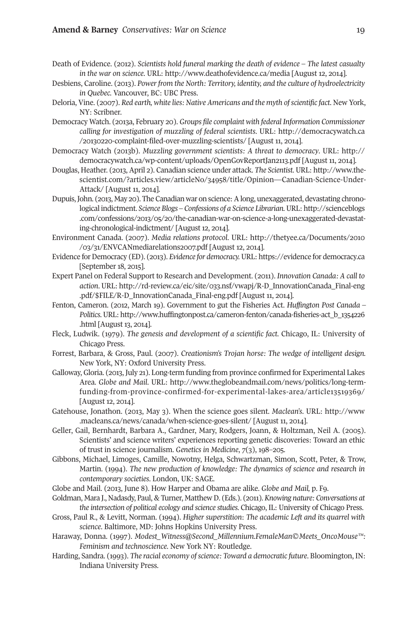- death of Evidence. (2012). *Scientists hold funeral marking the death of evidence – The latest casualty in the war on science*. Url: <http://www.deathofevidence.ca/media> [August 12, 2014].
- desbiens, Caroline. (2013). *Power from the North: Territory, identity, and the culture of hydroelectricity in Quebec.* Vancouver, BC: UBC Press.
- deloria, Vine. (2007). *Red earth, white lies: Native Americans and the myth ofscientific fact*. New York, NY: Scribner.
- democracy Watch. (2013a, February 20). *Groupsfile complaint with federal Information Commissioner calling for investigation of muzzling of federal scientists*. Url: [http://democracywatch.ca](http://democracywatch.ca/20130220-complaint-filed-over-muzzling-scientists/) [/20130220-complaint-filed-over-muzzling-scientists/](http://democracywatch.ca/20130220-complaint-filed-over-muzzling-scientists/) [August 11, 2014].
- democracy Watch (2013b). *Muzzling government scientists: A threat to democracy*. Url: [http://](http://democracywatch.ca/wp-content/uploads/OpenGovReportJan2113.pdf) [democracywatch.ca/wp-content/uploads/OpenGovreportJan2113.pdf](http://democracywatch.ca/wp-content/uploads/OpenGovReportJan2113.pdf) [August 11, 2014].
- douglas, Heather. (2013, April 2). Canadian science under attack. *The Scientist*. Url: [http://www.the](http://www.the-scientist.com/?articles.view/articleNo/34958/title/Opinion�Canadian-Science-Under-Attack/)[scientist.com/?articles.view/articleNo/34958/title/Opinion—Canadian-Science-Under-](http://www.the-scientist.com/?articles.view/articleNo/34958/title/Opinion�Canadian-Science-Under-Attack/)[Attack/](http://www.the-scientist.com/?articles.view/articleNo/34958/title/Opinion�Canadian-Science-Under-Attack/) [August 11, 2014].
- Dupuis, John. (2013, May 20). The Canadian war on science: A long, unexaggerated, devastating chronological indictment. *Science Blogs – Confessions of a Science Librarian.*Url: [http://scienceblogs](http://scienceblogs.com/confessions/2013/05/20/the-canadian-war-on-science-a-long-unexaggerated-devastating-chronological-indictment/) [.com/confessions/2013/05/20/the-canadian-war-on-science-a-long-unexaggerated-devastat](http://scienceblogs.com/confessions/2013/05/20/the-canadian-war-on-science-a-long-unexaggerated-devastating-chronological-indictment/)[ing-chronological-indictment/](http://scienceblogs.com/confessions/2013/05/20/the-canadian-war-on-science-a-long-unexaggerated-devastating-chronological-indictment/) [August 12, 2014].
- Environment Canada. (2007). *Media relations protocol*. Url: [http://thetyee.ca/documents/2010](http://thetyee.ca/Documents/2010/03/31/ENVCANmediarelations2007.pdf) [/03/31/ENVCANmediarelations2007.pdf](http://thetyee.ca/Documents/2010/03/31/ENVCANmediarelations2007.pdf) [August 12, 2014].
- Evidence for Democracy (ED). (2013). *Evidence for democracy.* URL: [https://evidence](https://evidence for democracy.ca) for democracy.ca [September 18, 2015].
- Expert Panel on Federal Support to Research and Development. (2011). *Innovation Canada: A call to* action. URL: http://rd-review.ca/eic/site/033.nsf/vwapj/R-D\_InnovationCanada\_Final-eng .pdf/\$FILE/R-D\_InnovationCanada\_Final-eng.pdf [August 11, 2014].
- Fenton, Cameron. (2012, March 19). Government to gut the Fisheries Act. *Huffington Post Canada – Politics*.Url: [http://www.huffingtonpost.ca/cameron-fenton/canada-fisheries-act\\_b\\_1354226](http://www.huffingtonpost.ca/cameron-fenton/canada-fisheries-act_b_1354226.html) [.html](http://www.huffingtonpost.ca/cameron-fenton/canada-fisheries-act_b_1354226.html) [August 13, 2014].
- Fleck, ludwik. (1979). *The genesis and development of a scientific fact.* Chicago, Il: University of Chicago Press.
- Forrest, Barbara, & Gross, Paul. (2007). *Creationism's Trojan horse: The wedge of intelligent design.* New York, NY: Oxford University Press.
- Galloway, Gloria. (2013, July 21). long-term funding from province confirmed for Experimental lakes Area. *Globe and Mail*. Url: [http://www.theglobeandmail.com/news/politics/long-term](http://www.theglobeandmail.com/news/politics/long-term-funding-from-province-confirmed-for-experimental-lakes-area/article13519369/)[funding-from-province-confirmed-for-experimental-lakes-area/article13519369/](http://www.theglobeandmail.com/news/politics/long-term-funding-from-province-confirmed-for-experimental-lakes-area/article13519369/) [August 12, 2014].
- Gatehouse, Jonathon. (2013, May 3). When the science goes silent*. Maclean's*. Url: [http://www](http://www.macleans.ca/news/canada/when-science-goes-silent/) [.macleans.ca/news/canada/when-science-goes-silent/](http://www.macleans.ca/news/canada/when-science-goes-silent/) [August 11, 2014].
- Geller, Gail, Bernhardt, Barbara A., Gardner, Mary, rodgers, Joann, & Holtzman, Neil A. (2005). Scientists' and science writers' experiences reporting genetic discoveries: Toward an ethic of trust in science journalism. *Genetics in Medicine*, *7*(3), 198–205.
- Gibbons, Michael, limoges, Camille, Nowotny, Helga, Schwartzman, Simon, Scott, Peter, & Trow, Martin. (1994). *The new production of knowledge: The dynamics of science and research in contemporary societies*. london, UK: SAGE.
- Globe and Mail. (2013, June 8). How Harper and Obama are alike. *Globe and Mail,* p. F9.
- Goldman, Mara J., Nadasdy, Paul, & Turner, Matthew d. (Eds.). (2011).*Knowing nature: Conversations at the intersection of political ecology and science studies*. Chicago, Il: University of Chicago Press.
- Gross, Paul r., & levitt, Norman. (1994). *Higher superstition*: *The academic Left and its quarrel with* science. Baltimore, MD: Johns Hopkins University Press.
- Haraway, Donna. (1997). *Modest\_Witness@Second\_Millennium.FemaleMan©Meets\_OncoMouse™: Feminism and technoscience*. New York NY: Routledge.
- Harding, Sandra. (1993). *The racial economy ofscience: Toward a democratic future*. Bloomington, IN: Indiana University Press.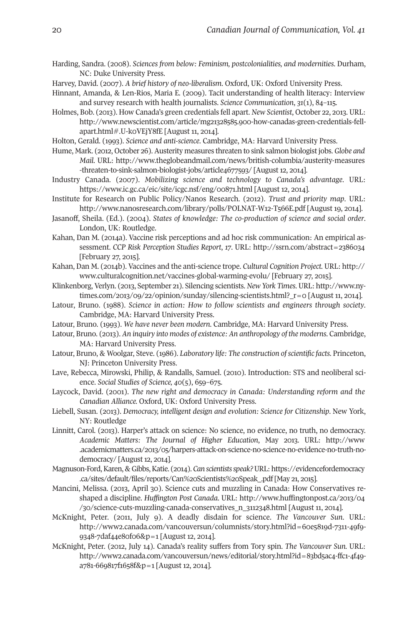- Harding, Sandra. (2008). *Sciences from below: Feminism, postcolonialities, and modernities*. durham, NC: Duke University Press.
- Harvey, david. (2007). *A brief history of neo-liberalism*. Oxford, UK: Oxford University Press.
- Hinnant, Amanda, & Len-Rios, Maria E. (2009). Tacit understanding of health literacy: Interview and survey research with health journalists. *Science Communication*, *31*(1), 84–115.
- Holmes, Bob. (2013). How Canada's green credentials fell apart. *New Scientist*, October 22, 2013. Url: [http://www.newscientist.com/article/mg21328585.900-how-canadas-green-credentials-fell](http://www.newscientist.com/article/mg21328585.900-how-canadas-green-credentials-fell-apart.html#.U-k0VEjY8fE)[apart.html#.U-k0VEjY8fE](http://www.newscientist.com/article/mg21328585.900-how-canadas-green-credentials-fell-apart.html#.U-k0VEjY8fE) [August 11, 2014].
- Holton, Gerald. (1993). *Science and anti-science*. Cambridge, MA: Harvard University Press.
- Hume, Mark. (2012, October 26).Austerity measures threaten to sink salmon biologistjobs. *Globe and Mail*. Url: [http://www.theglobeandmail.com/news/british-columbia/austerity-measures](http://www.theglobeandmail.com/news/british-columbia/austerity-measures-threaten-to-sink-salmon-biologist-jobs/article4677593/) [-threaten-to-sink-salmon-biologist-jobs/article4677593/](http://www.theglobeandmail.com/news/british-columbia/austerity-measures-threaten-to-sink-salmon-biologist-jobs/article4677593/) [August 12, 2014].
- Industry Canada. (2007). *Mobilizing science and technology to Canada's advantage*. Url: <https://www.ic.gc.ca/eic/site/icgc.nsf/eng/00871.html> [August 12, 2014].
- Institute for research on Public Policy/Nanos research. (2012). *Trust and priority map*. Url: [http://www.nanosresearch.com/library/polls/POlNAT-W12-T566E.pdf](http://www.nanosresearch.com/library/polls/POLNAT-W12-T566E.pdf) [August 19, 2014].
- Jasanoff, Sheila. (Ed.). (2004). *States of knowledge: The co-production of science and social order*. London, UK: Routledge.
- Kahan, Dan M. (2014a). Vaccine risk perceptions and ad hoc risk communication: An empirical assessment. *CCP Risk Perception Studies Report*, *17*. Url: <http://ssrn.com/abstract=2386034> [February 27, 2015].
- Kahan, dan M. (2014b). Vaccines and the anti-science trope. *Cultural Cognition Project.* Url: [http://](http://www.culturalcognition.net/vaccines-global-warming-evolu/) [www.culturalcognition.net/vaccines-global-warming-evolu/](http://www.culturalcognition.net/vaccines-global-warming-evolu/) [February 27, 2015].
- Klinkenborg, Verlyn. (2013, September 21). Silencing scientists.*New York Times*. Url: [http://www.ny](http://www.nytimes.com/2013/09/22/opinion/sunday/silencing-scientists.html?_r=0)[times.com/2013/09/22/opinion/sunday/silencing-scientists.html?\\_r=0](http://www.nytimes.com/2013/09/22/opinion/sunday/silencing-scientists.html?_r=0) [August 11, 2014].
- latour, Bruno. (1988). *Science in action: How to follow scientists and engineers through society*. Cambridge, MA: Harvard University Press.
- latour, Bruno. (1993). *We have never been modern.* Cambridge, MA: Harvard University Press.
- latour, Bruno. (2013). *An inquiry into modes of existence: An anthropology of the moderns*. Cambridge, MA: Harvard University Press.
- latour, Bruno, & Woolgar, Steve. (1986). *Laboratory life: The construction ofscientific facts*. Princeton, NJ: Princeton University Press.
- Lave, Rebecca, Mirowski, Philip, & Randalls, Samuel. (2010). Introduction: STS and neoliberal science. *Social Studies of Science, 40*(5), 659–675.
- laycock, david. (2001). *The new right and democracy in Canada: Understanding reform and the Canadian Alliance.* Oxford, UK: Oxford University Press.
- liebell, Susan. (2013). *Democracy, intelligent design and evolution: Science for Citizenship*. New York, NY: Routledge
- linnitt, Carol. (2013). Harper's attack on science: No science, no evidence, no truth, no democracy. *Academic Matters: The Journal of Higher Education*, May 2013. Url: [http://www](http://www.academicmatters.ca/2013/05/harpers-attack-on-science-no-science-no-evidence-no-truth-no-democracy/) [.academicmatters.ca/2013/05/harpers-attack-on-science-no-science-no-evidence-no-truth-no](http://www.academicmatters.ca/2013/05/harpers-attack-on-science-no-science-no-evidence-no-truth-no-democracy/)[democracy/](http://www.academicmatters.ca/2013/05/harpers-attack-on-science-no-science-no-evidence-no-truth-no-democracy/) [August 12, 2014].
- Magnuson-Ford,Karen,&Gibbs,Katie. (2014).*Can scientistsspeak?*Url:[https://evidencefordemocracy](https://evidencefordemocracy.ca/sites/default/files/reports/Can%20Scientists%20Speak_.pdf) [.ca/sites/default/files/reports/Can%20Scientists%20Speak\\_.pdf](https://evidencefordemocracy.ca/sites/default/files/reports/Can%20Scientists%20Speak_.pdf) [May 21, 2015].
- Mancini, Melissa. (2013, April 30). Science cuts and muzzling in Canada: How Conservatives reshaped a discipline. *Huffington Post Canada*. Url: [http://www.huffingtonpost.ca/2013/04](http://www.huffingtonpost.ca/2013/04/30/science-cuts-muzzling-canada-conservatives_n_3112348.html) [/30/science-cuts-muzzling-canada-conservatives\\_n\\_3112348.html](http://www.huffingtonpost.ca/2013/04/30/science-cuts-muzzling-canada-conservatives_n_3112348.html) [August 11, 2014].
- McKnight, Peter. (2011, July 9). A deadly disdain for science. *The Vancouver Sun*. Url: [http://www2.canada.com/vancouversun/columnists/story.html?id=60e5819d-7311-49f9-](http://www2.canada.com/vancouversun/columnists/story.html?id=60e5819d-7311-49f9-9348-7daf44e80f06&p=1) [9348-7daf44e80f06&p=1](http://www2.canada.com/vancouversun/columnists/story.html?id=60e5819d-7311-49f9-9348-7daf44e80f06&p=1) [August 12, 2014].
- McKnight, Peter. (2012, July 14). Canada's reality suffers from Tory spin. *The Vancouver Sun.* Url: [http://www2.canada.com/vancouversun/news/editorial/story.html?id=83bd5ac4-ffc1-4f49](http://www2.canada.com/vancouversun/news/editorial/story.html?id=83bd5ac4-ffc1-4f49-a781-669817f1658f&p=1) [a781-669817f1658f&p=1](http://www2.canada.com/vancouversun/news/editorial/story.html?id=83bd5ac4-ffc1-4f49-a781-669817f1658f&p=1) [August 12, 2014].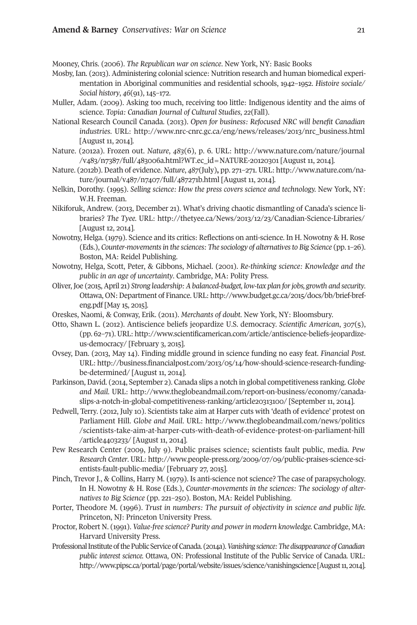Mooney, Chris. (2006). *The Republican war on science*. New York, NY: Basic Books

- Mosby, Ian. (2013). Administering colonial science: Nutrition research and human biomedical experimentation in Aboriginal communities and residential schools, 1942–1952. *Histoire sociale/ Social history*, *46*(91), 145–172.
- Muller, Adam. (2009). Asking too much, receiving too little: Indigenous identity and the aims of science. *Topia: Canadian Journal of Cultural Studies*, *22*(Fall).
- National research Council Canada. (2013). *Open for business: Refocused NRC will benefit Canadian industries*. Url: [http://www.nrc-cnrc.gc.ca/eng/news/releases/2013/nrc\\_business.html](http://www.nrc-cnrc.gc.ca/eng/news/releases/2013/nrc_business.html) [August 11, 2014].
- Nature. (2012a). Frozen out. *Nature*, *483*(6), p. 6. Url: [http://www.nature.com/nature/journal](http://www.nature.com/nature/journal/v483/n7387/full/483006a.html?WT.ec_id=NATURE-20120301) [/v483/n7387/full/483006a.html?WT.ec\\_id=NATUrE-20120301](http://www.nature.com/nature/journal/v483/n7387/full/483006a.html?WT.ec_id=NATURE-20120301) [August 11, 2014].
- Nature. (2012b). Death of evidence. *Nature*,  $487$ (July), pp. 271–271. URL: [http://www.nature.com/na](http://www.nature.com/nature/journal/v487/n7407/full/487271b.html)[ture/journal/v487/n7407/full/487271b.html](http://www.nature.com/nature/journal/v487/n7407/full/487271b.html) [August 11, 2014].
- Nelkin, dorothy. (1995). *Selling science: How the press covers science and technology.* New York, NY: W.H. Freeman.
- Nikiforuk, Andrew. (2013, December 21). What's driving chaotic dismantling of Canada's science libraries? *The Tyee.* Url: [http://thetyee.ca/News/2013/12/23/Canadian-Science-libraries/](http://thetyee.ca/News/2013/12/23/Canadian-Science-Libraries/) [August 12, 2014].
- Nowotny, Helga. (1979). Science and its critics: Reflections on anti-science. In H. Nowotny & H. Rose (Eds.), *Counter-movementsin the sciences: The sociology of alternativesto Big Science* (pp.1–26). Boston, MA: Reidel Publishing.
- Nowotny, Helga, Scott, Peter, & Gibbons, Michael. (2001). *Re-thinking science: Knowledge and the public in an age of uncertainty*. Cambridge, MA: Polity Press.
- Oliver,Joe (2015,April 21) *Strong leadership:Abalanced-budget, low-tax plan forjobs, growth and security*. Ottawa, ON: Department of Finance. URL: [http://www.budget.gc.ca/2015/docs/bb/brief-bref](http://www.budget.gc.ca/2015/docs/bb/brief-bref-eng.pdf)[eng.pdf](http://www.budget.gc.ca/2015/docs/bb/brief-bref-eng.pdf) [May 15, 2015].
- Oreskes, Naomi, & Conway, Erik. (2011). *Merchants of doubt*. New York, NY: Bloomsbury.
- Otto, Shawn l. (2012). Antiscience beliefs jeopardize U.S. democracy. *Scientific American*, *307*(5), (pp. 62–71).Url: [http://www.scientificamerican.com/article/antiscience-beliefs-jeopardize](http://www.scientificamerican.com/article/antiscience-beliefs-jeopardize-us-democracy/)[us-democracy/](http://www.scientificamerican.com/article/antiscience-beliefs-jeopardize-us-democracy/) [February 3, 2015].
- Ovsey, dan. (2013, May 14). Finding middle ground in science funding no easy feat. *Financial Post*. Url: [http://business.financialpost.com/2013/05/14/how-should-science-research-funding](http://business.financialpost.com/2013/05/14/how-should-science-research-funding-be-determined/)[be-determined/](http://business.financialpost.com/2013/05/14/how-should-science-research-funding-be-determined/) [August 11, 2014].
- Parkinson, David. (2014, September 2). Canada slips a notch in global competitiveness ranking. *Globe and Mail*. Url: [http://www.theglobeandmail.com/report-on-business/economy/canada](http://www.theglobeandmail.com/report-on-business/economy/canada-slips-a-notch-in-global-competitiveness-ranking/article20313100/)[slips-a-notch-in-global-competitiveness-ranking/article20313100/](http://www.theglobeandmail.com/report-on-business/economy/canada-slips-a-notch-in-global-competitiveness-ranking/article20313100/) [September 11, 2014].
- Pedwell, Terry. (2012, July 10). Scientists take aim at Harper cuts with 'death of evidence' protest on Parliament Hill. *Globe and Mail*. Url: [http://www.theglobeandmail.com/news/politics](http://www.theglobeandmail.com/news/politics/scientists-take-aim-at-harper-cuts-with-death-of-evidence-protest-on-parliament-hill/article4403233/) [/scientists-take-aim-at-harper-cuts-with-death-of-evidence-protest-on-parliament-hill](http://www.theglobeandmail.com/news/politics/scientists-take-aim-at-harper-cuts-with-death-of-evidence-protest-on-parliament-hill/article4403233/) [/article4403233/](http://www.theglobeandmail.com/news/politics/scientists-take-aim-at-harper-cuts-with-death-of-evidence-protest-on-parliament-hill/article4403233/) [August 11, 2014].
- Pew research Center (2009, July 9). Public praises science; scientists fault public, media. *Pew Research Center*. Url: [http://www.people-press.org/2009/07/09/public-praises-science-sci](http://www.people-press.org/2009/07/09/public-praises-science-scientists-fault-public-media/)[entists-fault-public-media/](http://www.people-press.org/2009/07/09/public-praises-science-scientists-fault-public-media/) [February 27, 2015].
- Pinch, Trevor J., & Collins, Harry M. (1979). Is anti-science not science? The case of parapsychology. In H. Nowotny & H. Rose (Eds.), *Counter-movements* in the *sciences*: The *sociology* of alter*natives* to Big Science (pp. 221-250). Boston, MA: Reidel Publishing.
- Porter, Theodore M. (1996). *Trust in numbers: The pursuit of objectivity in science and public life.* Princeton, NJ: Princeton University Press.
- Proctor, robert N. (1991). *Value-free science? Purity and powerin modern knowledge.* Cambridge, MA: Harvard University Press.
- Professional Institute of the Public Service of Canada. (2014a). Vanishing science: The disappearance of Canadian *public interest science.* Ottawa, ON: Professional Institute of the Public Service of Canada. Url: <http://www.pipsc.ca/portal/page/portal/website/issues/science/vanishingscience> [August 11, 2014].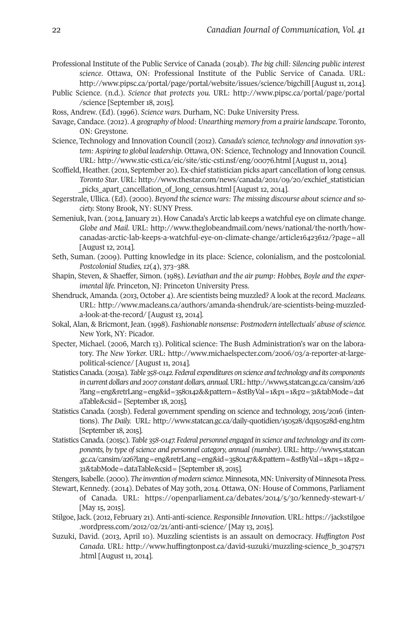- Professional Institute of the Public Service of Canada (2014b). *The big chill: Silencing public interest science*. Ottawa, ON: Professional Institute of the Public Service of Canada. Url: <http://www.pipsc.ca/portal/page/portal/website/issues/science/bigchill> [August 11, 2014].
- Public Science. (n.d.). *Science that protects you.* Url: [http://www.pipsc.ca/portal/page/portal](http://www.pipsc.ca/portal/page/portal/science) [/science](http://www.pipsc.ca/portal/page/portal/science) [September 18, 2015].
- Ross, Andrew. (Ed). (1996). *Science wars*. Durham, NC: Duke University Press.
- Savage, Candace. (2012). *A geography of blood: Unearthing memory from a prairie landscape*. Toronto, ON: Greystone.
- Science, Technology and Innovation Council (2012). *Canada's science, technology and innovation system: Aspiring to global leadership*. Ottawa, ON: Science, Technology and Innovation Council. Url: <http://www.stic-csti.ca/eic/site/stic-csti.nsf/eng/00076.html> [August 11, 2014].
- Scoffield, Heather. (2011, September 20). Ex-chief statistician picks apart cancellation of long census. *Toronto Star*. Url: [http://www.thestar.com/news/canada/2011/09/20/exchief\\_statistician](http://www.thestar.com/news/canada/2011/09/20/exchief_statistician_picks_apart_cancellation_of_long_census.html) [\\_picks\\_apart\\_cancellation\\_of\\_long\\_census.html](http://www.thestar.com/news/canada/2011/09/20/exchief_statistician_picks_apart_cancellation_of_long_census.html) [August 12, 2014].
- Segerstrale, Ullica. (Ed). (2000). *Beyond the science wars: The missing discourse about science and society.* Stony Brook, NY: SUNY Press.
- Semeniuk, Ivan. (2014, January 21). How Canada's Arctic lab keeps a watchful eye on climate change. *Globe and Mail*. Url: [http://www.theglobeandmail.com/news/national/the-north/how](http://www.theglobeandmail.com/news/national/the-north/how-canadas-arctic-lab-keeps-a-watchful-eye-on-climate-change/article16423612/?page=all)[canadas-arctic-lab-keeps-a-watchful-eye-on-climate-change/article16423612/?page=all](http://www.theglobeandmail.com/news/national/the-north/how-canadas-arctic-lab-keeps-a-watchful-eye-on-climate-change/article16423612/?page=all) [August 12, 2014].
- Seth, Suman. (2009). Putting knowledge in its place: Science, colonialism, and the postcolonial. *Postcolonial Studies, 12*(4), 373–388.
- Shapin, Steven, & Shaeffer, Simon. (1985). *Leviathan and the air pump: Hobbes, Boyle and the experimental life.* Princeton, NJ: Princeton University Press.
- Shendruck, Amanda. (2013, October 4). Are scientists being muzzled? A look at the record. *Macleans*. Url: [http://www.macleans.ca/authors/amanda-shendruk/are-scientists-being-muzzled](http://www.macleans.ca/authors/amanda-shendruk/are-scientists-being-muzzled-a-look-at-the-record/)[a-look-at-the-record/](http://www.macleans.ca/authors/amanda-shendruk/are-scientists-being-muzzled-a-look-at-the-record/) [August 13, 2014].
- Sokal, Alan, & Bricmont, Jean. (1998). *Fashionable nonsense: Postmodern intellectuals' abuse ofscience.* New York, NY: Picador.
- Specter, Michael. (2006, March 13). Political science: The Bush Administration's war on the laboratory. *The New Yorker.* Url: [http://www.michaelspecter.com/2006/03/a-reporter-at-large](http://www.michaelspecter.com/2006/03/a-reporter-at-large-political-science/)[political-science/](http://www.michaelspecter.com/2006/03/a-reporter-at-large-political-science/) [August 11, 2014].
- StatisticsCanada. (2015a).*Table 358-0142. Federal expenditures onscience and technology and its components in current dollars and 2007 constant dollars, annual.*Url:[http://www5.statcan.gc.ca/cansim/a26](http://www5.statcan.gc.ca/cansim/a26?lang=eng&retrLang=eng&id=3580142&&pattern=&stByVal=1&p1=1&p2=31&tabMode=dataTable&csid=) [?lang=eng&retrlang=eng&id=3580142&&pattern=&stByVal=1&p1=1&p2=31&tabMode=dat](http://www5.statcan.gc.ca/cansim/a26?lang=eng&retrLang=eng&id=3580142&&pattern=&stByVal=1&p1=1&p2=31&tabMode=dataTable&csid=) [aTable&csid=](http://www5.statcan.gc.ca/cansim/a26?lang=eng&retrLang=eng&id=3580142&&pattern=&stByVal=1&p1=1&p2=31&tabMode=dataTable&csid=) [September 18, 2015].
- Statistics Canada. (2015b). Federal government spending on science and technology, 2015/2016 (intentions). *The Daily.* Url: <http://www.statcan.gc.ca/daily-quotidien/150528/dq150528d-eng.htm> [September 18, 2015].
- Statistics Canada. (2015c). *Table 358-0147. Federal personnel engaged in science and technology and its components, by type of science and personnel category, annual (number).* Url: [http://www5.statcan](http://www5.statcan.gc.ca/cansim/a26?lang=eng&retrLang=eng&id=3580147&&pattern=&stByVal=1&p1=1&p2=31&tabMode=dataTable&csid=) [.gc.ca/cansim/a26?lang=eng&retrlang=eng&id=3580147&&pattern=&stByVal=1&p1=1&p2=](http://www5.statcan.gc.ca/cansim/a26?lang=eng&retrLang=eng&id=3580147&&pattern=&stByVal=1&p1=1&p2=31&tabMode=dataTable&csid=) [31&tabMode=dataTable&csid=](http://www5.statcan.gc.ca/cansim/a26?lang=eng&retrLang=eng&id=3580147&&pattern=&stByVal=1&p1=1&p2=31&tabMode=dataTable&csid=) [September18, 2015].
- Stengers,Isabelle. (2000).*The invention of modern science.*Minnesota,MN:University ofMinnesotaPress.
- Stewart, Kennedy. (2014). Debates of May 30th, 2014. Ottawa, ON: House of Commons, Parliament of Canada. Url: <https://openparliament.ca/debates/2014/5/30/kennedy-stewart-1/> [May 15, 2015].
- Stilgoe, Jack. (2012, February 21). Anti-anti-science. *Responsible Innovation*. Url: [https://jackstilgoe](https://jackstilgoe.wordpress.com/2012/02/21/anti-anti-science/) [.wordpress.com/2012/02/21/anti-anti-science/](https://jackstilgoe.wordpress.com/2012/02/21/anti-anti-science/) [May 13, 2015].
- Suzuki, david. (2013, April 10). Muzzling scientists is an assault on democracy. *Huffington Post Canada*. Url: [http://www.huffingtonpost.ca/david-suzuki/muzzling-science\\_b\\_3047571](http://www.huffingtonpost.ca/david-suzuki/muzzling-science_b_3047571.html) [.html](http://www.huffingtonpost.ca/david-suzuki/muzzling-science_b_3047571.html) [August 11, 2014].